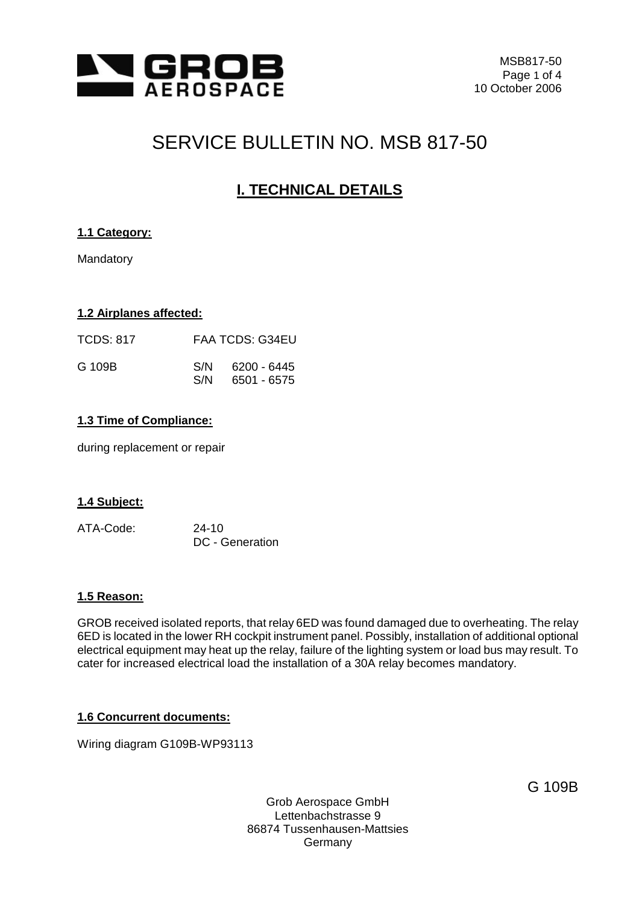

# SERVICE BULLETIN NO. MSB 817-50

## **I. TECHNICAL DETAILS**

## **1.1 Category:**

Mandatory

### **1.2 Airplanes affected:**

| TCDS: 817 |            | <b>FAA TCDS: G34EU</b>     |
|-----------|------------|----------------------------|
| G 109B    | S/N<br>S/N | 6200 - 6445<br>6501 - 6575 |

### **1.3 Time of Compliance:**

during replacement or repair

#### **1.4 Subject:**

ATA-Code: 24-10 DC - Generation

#### **1.5 Reason:**

GROB received isolated reports, that relay 6ED was found damaged due to overheating. The relay 6ED is located in the lower RH cockpit instrument panel. Possibly, installation of additional optional electrical equipment may heat up the relay, failure of the lighting system or load bus may result. To cater for increased electrical load the installation of a 30A relay becomes mandatory.

#### **1.6 Concurrent documents:**

Wiring diagram G109B-WP93113

G 109B

Grob Aerospace GmbH Lettenbachstrasse 9 86874 Tussenhausen-Mattsies Germany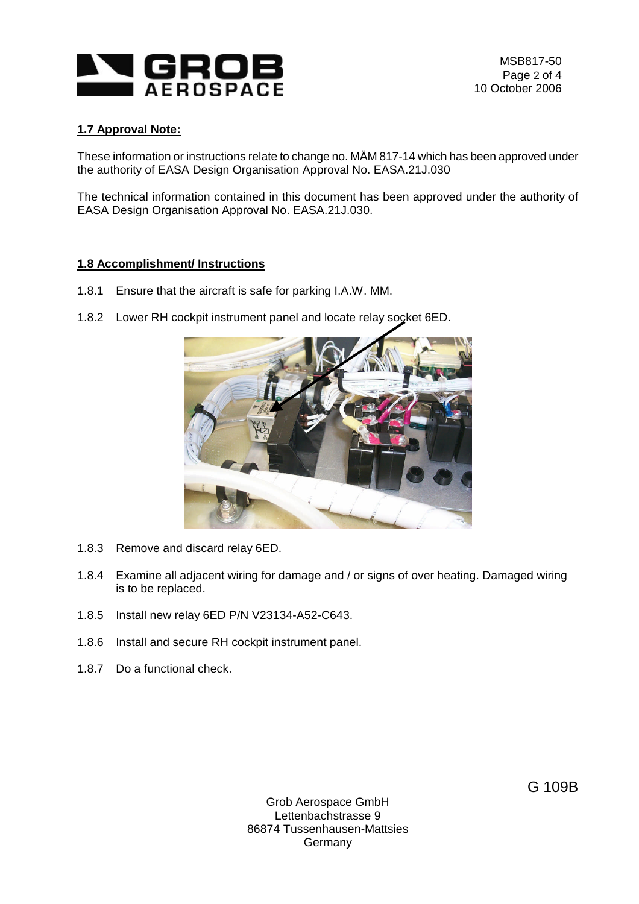

## **1.7 Approval Note:**

These information or instructions relate to change no. MÄM 817-14 which has been approved under the authority of EASA Design Organisation Approval No. EASA.21J.030

The technical information contained in this document has been approved under the authority of EASA Design Organisation Approval No. EASA.21J.030.

#### **1.8 Accomplishment/ Instructions**

- 1.8.1 Ensure that the aircraft is safe for parking I.A.W. MM.
- 1.8.2 Lower RH cockpit instrument panel and locate relay socket 6ED.



- 1.8.3 Remove and discard relay 6ED.
- 1.8.4 Examine all adjacent wiring for damage and / or signs of over heating. Damaged wiring is to be replaced.
- 1.8.5 Install new relay 6ED P/N V23134-A52-C643.
- 1.8.6 Install and secure RH cockpit instrument panel.
- 1.8.7 Do a functional check.

Grob Aerospace GmbH Lettenbachstrasse 9 86874 Tussenhausen-Mattsies Germany

G 109B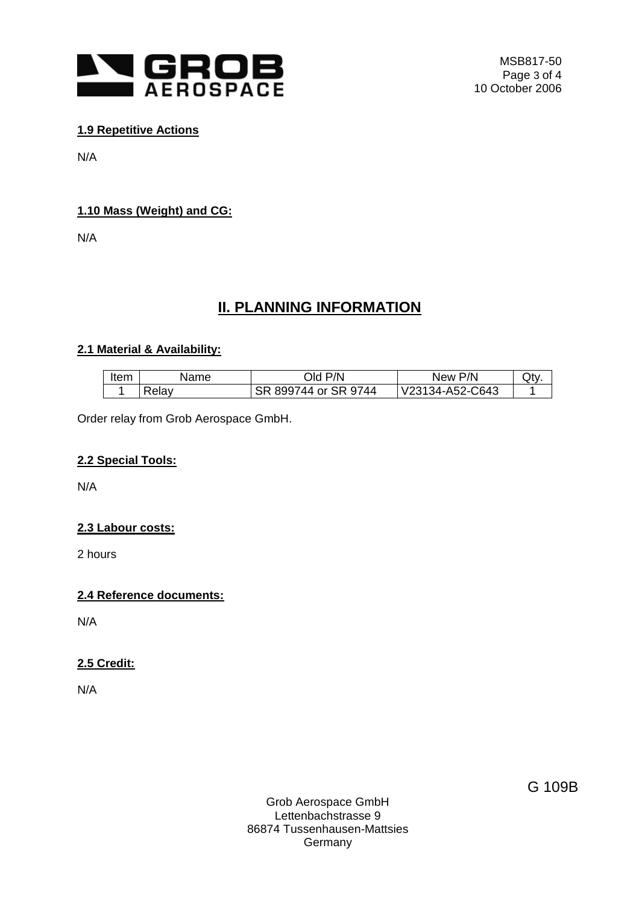

## **1.9 Repetitive Actions**

N/A

## **1.10 Mass (Weight) and CG:**

N/A

## **II. PLANNING INFORMATION**

### **2.1 Material & Availability:**

| ltem. | Name  | DId P/N              | New P/N         | Qty |
|-------|-------|----------------------|-----------------|-----|
|       | Relav | SR 899744 or SR 9744 | V23134-A52-C643 |     |

Order relay from Grob Aerospace GmbH.

## **2.2 Special Tools:**

N/A

## **2.3 Labour costs:**

2 hours

### **2.4 Reference documents:**

N/A

## **2.5 Credit:**

N/A

Grob Aerospace GmbH Lettenbachstrasse 9 86874 Tussenhausen-Mattsies **Germany** 

G 109B